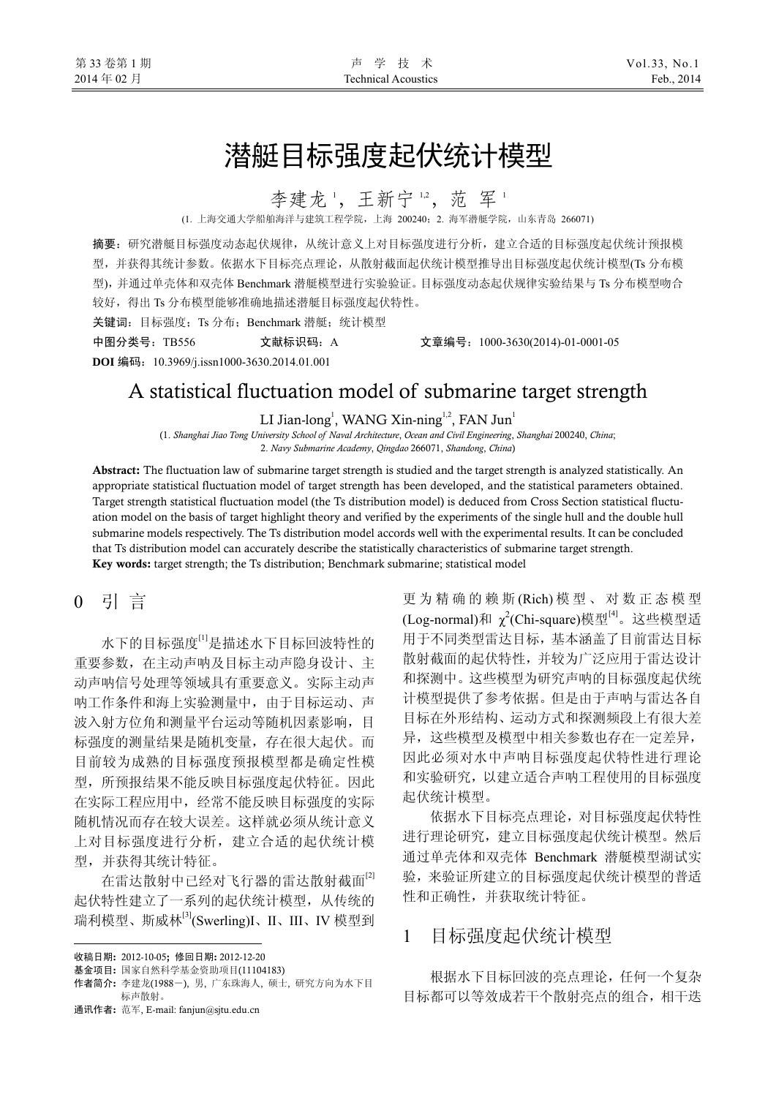# 潜艇目标强度起伏统计模型

李建龙',王新宁",范军'

(1. 上海交通大学船舶海洋与建筑工程学院,上海 200240;2. 海军潜艇学院,山东青岛 266071)

摘要:研究潜艇目标强度动态起伏规律,从统计意义上对目标强度进行分析,建立合适的目标强度起伏统计预报模 型,并获得其统计参数。依据水下目标亮点理论,从散射截面起伏统计模型推导出目标强度起伏统计模型(Ts 分布模 型),并通过单壳体和双壳体 Benchmark 潜艇模型进行实验验证。目标强度动态起伏规律实验结果与 Ts 分布模型吻合 较好, 得出 Ts 分布模型能够准确地描述潜艇目标强度起伏特性。

关键词: 目标强度; Ts 分布; Benchmark 潜艇; 统计模型

**DOI** 编码:10.3969/j.issn1000-3630.2014.01.001

中图分类号:TB556 文献标识码:A 文章编号:1000-3630(2014)-01-0001-05

# A statistical fluctuation model of submarine target strength

LI Jian-long<sup>1</sup>, WANG Xin-ning<sup>1,2</sup>, FAN Jun<sup>1</sup>

(1. *Shanghai Jiao Tong University School of Naval Architecture*, *Ocean and Civil Engineering*, *Shanghai* 200240, *China*; 2. *Navy Submarine Academy*, *Qingdao* 266071, *Shandong*, *China*)

Abstract: The fluctuation law of submarine target strength is studied and the target strength is analyzed statistically. An appropriate statistical fluctuation model of target strength has been developed, and the statistical parameters obtained. Target strength statistical fluctuation model (the Ts distribution model) is deduced from Cross Section statistical fluctuation model on the basis of target highlight theory and verified by the experiments of the single hull and the double hull submarine models respectively. The Ts distribution model accords well with the experimental results. It can be concluded that Ts distribution model can accurately describe the statistically characteristics of submarine target strength. Key words: target strength; the Ts distribution; Benchmark submarine; statistical model

## 0 引 言

水下的目标强度[1]是描述水下目标回波特性的 重要参数,在主动声呐及目标主动声隐身设计、主 动声呐信号处理等领域具有重要意义。实际主动声 呐工作条件和海上实验测量中,由于目标运动、声 波入射方位角和测量平台运动等随机因素影响,目 标强度的测量结果是随机变量,存在很大起伏。而 目前较为成熟的目标强度预报模型都是确定性模 型,所预报结果不能反映目标强度起伏特征。因此 在实际工程应用中,经常不能反映目标强度的实际 随机情况而存在较大误差。这样就必须从统计意义 上对目标强度进行分析,建立合适的起伏统计模 型,并获得其统计特征。

在雷达散射中已经对飞行器的雷达散射截面<sup>[2]</sup> 起伏特性建立了一系列的起伏统计模型,从传统的 瑞利模型、斯威林[3](Swerling)I、II、III、IV 模型到

 $\overline{a}$ 

通讯作者: 范军, E-mail: fanjun@sjtu.edu.cn

更为精确的赖斯 (Rich) 模型、对数正态模型 (Log-normal)和 χ<sup>2</sup>(Chi-square)模型<sup>[4]</sup>。这些模型适 用于不同类型雷达目标,基本涵盖了目前雷达目标 散射截面的起伏特性,并较为广泛应用于雷达设计 和探测中。这些模型为研究声呐的目标强度起伏统 计模型提供了参考依据。但是由于声呐与雷达各自 目标在外形结构、运动方式和探测频段上有很大差 异,这些模型及模型中相关参数也存在一定差异, 因此必须对水中声呐目标强度起伏特性进行理论 和实验研究,以建立适合声呐工程使用的目标强度 起伏统计模型。

依据水下目标亮点理论,对目标强度起伏特性 进行理论研究,建立目标强度起伏统计模型。然后 通过单壳体和双壳体 Benchmark 潜艇模型湖试实 验,来验证所建立的目标强度起伏统计模型的普适 性和正确性,并获取统计特征。

## 1目标强度起伏统计模型

根据水下目标回波的亮点理论,任何一个复杂 目标都可以等效成若干个散射亮点的组合,相干迭

收稿日期: 2012-10-05; 修回日期: 2012-12-20

基金项目: 国家自然科学基金资助项目(11104183)

作者简介: 李建龙(1988-), 男, 广东珠海人, 硕士, 研究方向为水下目 标声散射。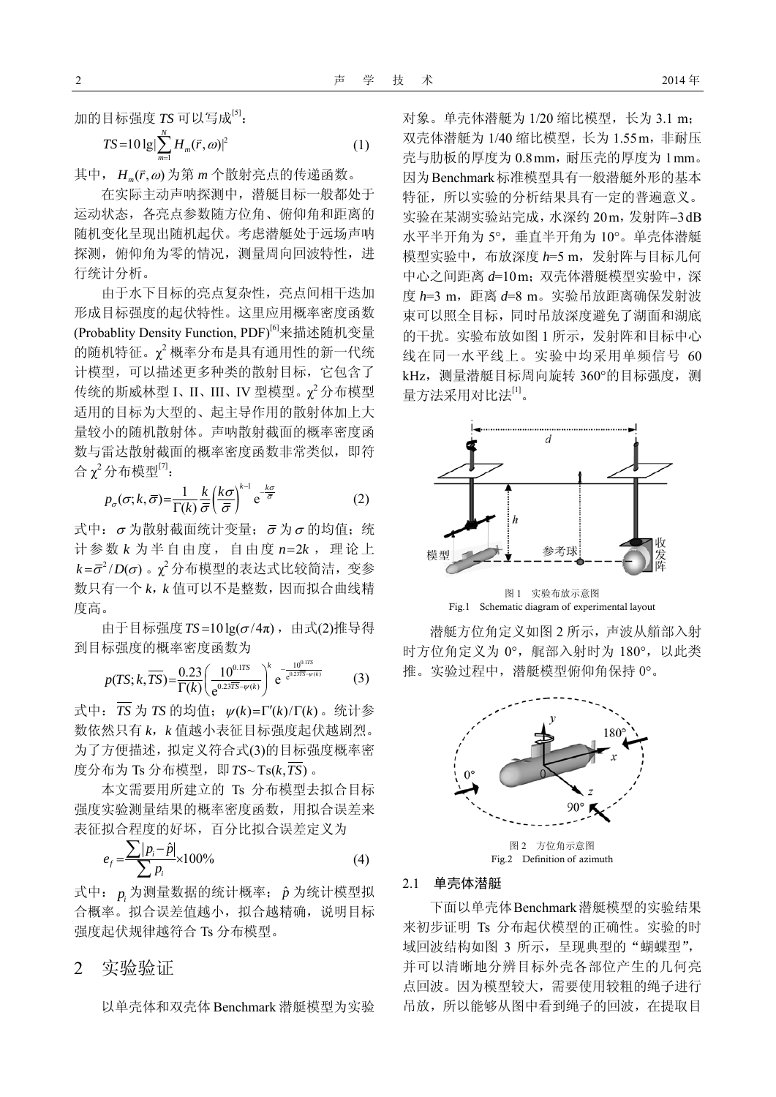加的目标强度 TS 可以写成<sup>[5]</sup>:

$$
TS = 10 \lg \left| \sum_{m=1}^{N} H_m(\vec{r}, \omega) \right|^2 \tag{1}
$$

其中, H . (r, ω) 为第 m 个散射亮点的传递函数。

在实际主动声呐探测中,潜艇目标一般都处于 运动状态,各亮点参数随方位角、俯仰角和距离的 随机变化呈现出随机起伏。考虑潜艇处于远场声呐 探测,俯仰角为零的情况,测量周向回波特性,进 行统计分析。

由于水下目标的亮点复杂性,亮点间相干迭加 形成目标强度的起伏特性。这里应用概率密度函数 (Probablity Density Function, PDF)<sup>[6]</sup>来描述随机变量 的随机特征。 χ<sup>2</sup> 概率分布是具有通用性的新一代统 计模型,可以描述更多种类的散射目标,它包含了 传统的斯威林型 I、II、III、IV 型模型。χ<sup>2</sup> 分布模型 适用的目标为大型的、起主导作用的散射体加上大 量较小的随机散射体。声呐散射截面的概率密度函 数与雷达散射截面的概率密度函数非常类似,即符 合χ<sup>2</sup>分布模型<sup>[7]</sup>:

$$
p_{\sigma}(\sigma; k, \overline{\sigma}) = \frac{1}{\Gamma(k)} \frac{k}{\overline{\sigma}} \left(\frac{k\sigma}{\overline{\sigma}}\right)^{k-1} e^{-\frac{k\sigma}{\overline{\sigma}}} \tag{2}
$$

式中: σ为散射截面统计变量; σ为σ的均值;统 计参数  $k$  为半自由度, 自由度  $n=2k$ , 理论上  $k$ = $\bar{\sigma}^2$ /D( $\sigma$ ) 。 $\chi^2$ 分布模型的表达式比较简洁,变参 数只有一个 *k*,*k* 值可以不是整数,因而拟合曲线精 度高。

由于目标强度 $TS = 10 \lg(\sigma/4\pi)$ , 由式(2)推导得 到目标强度的概率密度函数为

$$
p(TS; k, \overline{TS}) = \frac{0.23}{\Gamma(k)} \left( \frac{10^{0.175}}{e^{0.237\overline{S} - \psi(k)}} \right)^k e^{-\frac{10^{0.175}}{e^{0.237\overline{S} - \psi(k)}}}
$$
(3)

式中:  $\overline{TS}$  为  $TS$  的均值;  $\psi(k) = \Gamma'(k)/\Gamma(k)$  。统计参 数依然只有 *k*,*k* 值越小表征目标强度起伏越剧烈。 为了方便描述,拟定义符合式(3)的目标强度概率密 度分布为 Ts 分布模型, 即 $TS \sim Ts(k, \overline{TS})$ .

本文需要用所建立的 Ts 分布模型去拟合目标 强度实验测量结果的概率密度函数,用拟合误差来 表征拟合程度的好坏,百分比拟合误差定义为

$$
e_f = \frac{\sum |p_i - \hat{p}|}{\sum p_i} \times 100\%
$$
 (4)

式中: p<sub>i</sub>为测量数据的统计概率; p 为统计模型拟 合概率。拟合误差值越小,拟合越精确,说明目标 强度起伏规律越符合 Ts 分布模型。

### 2实验验证

以单壳体和双壳体 Benchmark 潜艇模型为实验

对象。单壳体潜艇为 1/20 缩比模型,长为 3.1 m; 双壳体潜艇为 1/40 缩比模型, 长为 1.55m, 非耐压 壳与肋板的厚度为 0.8 mm, 耐压壳的厚度为 1 mm。 因为Benchmark标准模型具有一般潜艇外形的基本 特征,所以实验的分析结果具有一定的普遍意义。 实验在某湖实验站完成,水深约 20m,发射阵−3 dB 水平半开角为 5°,垂直半开角为 10°。单壳体潜艇 模型实验中,布放深度 *h*=5 m,发射阵与目标几何 中心之间距离  $d=10\,\text{m}$ ; 双壳体潜艇模型实验中, 深 度  $h=3$  m, 距离  $d=8$  m。实验吊放距离确保发射波 束可以照全目标,同时吊放深度避免了湖面和湖底 的干扰。实验布放如图 1 所示,发射阵和目标中心 线在同一水平线上。实验中均采用单频信号 60 kHz,测量潜艇目标周向旋转 360°的目标强度,测 量方法采用对比法[1]。



图 1 实验布放示意图 Fig.1 Schematic diagram of experimental layout

潜艇方位角定义如图 2 所示,声波从艏部入射 时方位角定义为 0°,艉部入射时为 180°,以此类 推。实验过程中,潜艇模型俯仰角保持 0°。



### 2.1 单壳体潜艇

下面以单壳体Benchmark潜艇模型的实验结果 来初步证明 Ts 分布起伏模型的正确性。实验的时 域回波结构如图 3 所示, 呈现典型的"蝴蝶型", 并可以清晰地分辨目标外壳各部位产生的几何亮 点回波。因为模型较大,需要使用较粗的绳子进行 吊放,所以能够从图中看到绳子的回波,在提取目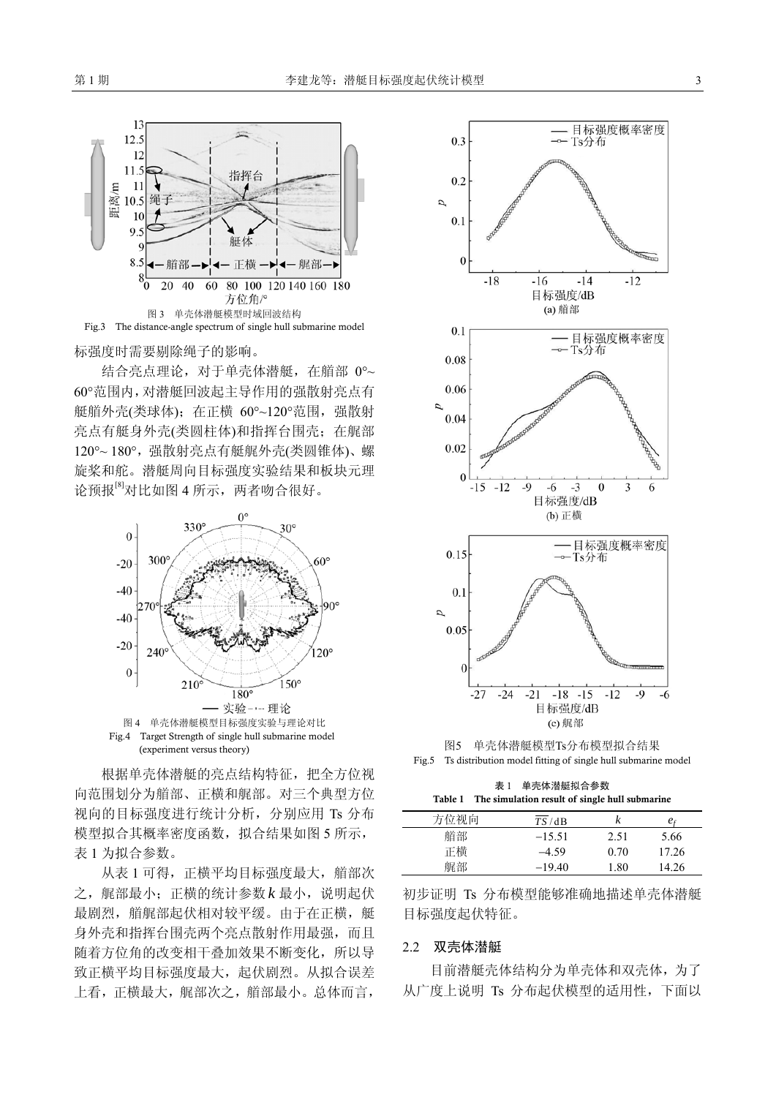

标强度时需要剔除绳子的影响。

结合亮点理论,对于单壳体潜艇,在艏部 0°~ 60°范围内,对潜艇回波起主导作用的强散射亮点有 艇艏外壳(类球体); 在正横 60°~120°范围, 强散射 亮点有艇身外壳(类圆柱体)和指挥台围壳;在艉部 120°~ 180°,强散射亮点有艇艉外壳(类圆锥体)、螺 旋桨和舵。潜艇周向目标强度实验结果和板块元理 论预报<sup>[8]</sup>对比如图 4 所示, 两者吻合很好。



根据单壳体潜艇的亮点结构特征,把全方位视 向范围划分为艏部、正横和艉部。对三个典型方位 视向的目标强度进行统计分析,分别应用 Ts 分布 模型拟合其概率密度函数, 拟合结果如图 5 所示, 表 1 为拟合参数。

从表 1 可得, 正横平均目标强度最大, 艏部次 之, 艉部最小; 正横的统计参数 k 最小, 说明起伏 最剧烈,艏艉部起伏相对较平缓。由于在正横,艇 身外壳和指挥台围壳两个亮点散射作用最强,而且 随着方位角的改变相干叠加效果不断变化,所以导 致正横平均目标强度最大,起伏剧烈。从拟合误差 上看,正横最大,艉部次之,艏部最小。总体而言,



图5 单壳体潜艇模型Ts分布模型拟合结果 Fig.5 Ts distribution model fitting of single hull submarine model

表 1 单壳体潜艇拟合参数 Table 1 The simulation result of single hull submarine

| 方位视向 | TS/dB    |      | $e_{\rm f}$ |
|------|----------|------|-------------|
| 艏部   | $-15.51$ | 2.51 | 5.66        |
| 正横   | $-4.59$  | 0.70 | 17.26       |
| 艉部   | $-19.40$ | 1.80 | 14.26       |

初步证明 Ts 分布模型能够准确地描述单壳体潜艇 目标强度起伏特征。

### 2.2 双壳体潜艇

目前潜艇壳体结构分为单壳体和双壳体,为了 从广度上说明 Ts 分布起伏模型的适用性,下面以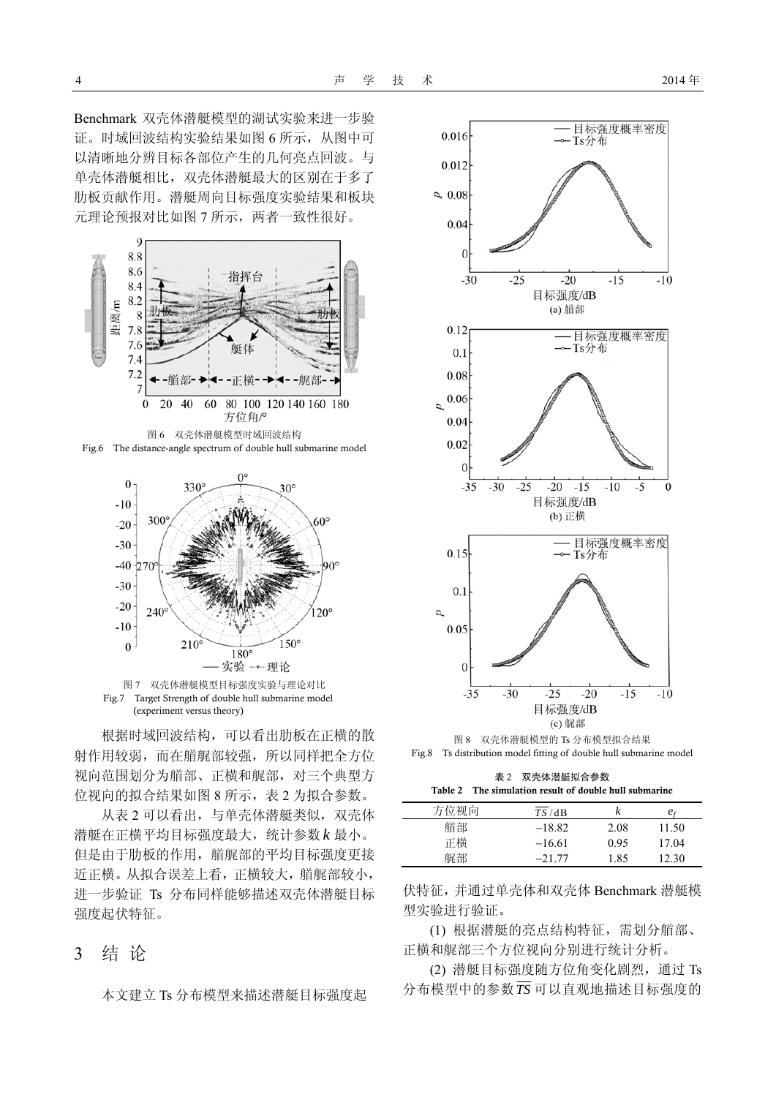Benchmark 双壳体潜艇模型的湖试实验来进一步验 证。时域回波结构实验结果如图 6 所示,从图中可 以清晰地分辨目标各部位产生的几何亮点回波。与 单壳体潜艇相比,双壳体潜艇最大的区别在于多了 肋板贡献作用。潜艇周向目标强度实验结果和板块 元理论预报对比如图 7 所示,两者一致性很好。







Fig.7 Target Strength of double hull submarine model (experiment versus theory)

根据时域回波结构,可以看出肋板在正横的散 射作用较弱,而在艏艉部较强,所以同样把全方位 视向范围划分为艏部、正横和艉部,对三个典型方 位视向的拟合结果如图 8 所示,表 2 为拟合参数。

从表 2 可以看出, 与单壳体潜艇类似, 双壳体 潜艇在正横平均目标强度最大,统计参数 *k* 最小。 但是由于肋板的作用,艏艉部的平均目标强度更接 近正横。从拟合误差上看,正横较大,艏艉部较小, 进一步验证 Ts 分布同样能够描述双壳体潜艇目标 强度起伏特征。

### 3 结 论

本文建立 Ts 分布模型来描述潜艇目标强度起



图 8 双壳体潜艇模型的 Ts 分布模型拟合结果 Fig.8 Ts distribution model fitting of double hull submarine model

表 2 双壳体潜艇拟合参数 Table 2 The simulation result of double hull submarine

| 方位视向 | TS/dB    | k    | $e_{\rm f}$ |
|------|----------|------|-------------|
| 艏部   | $-18.82$ | 2.08 | 11.50       |
| 正横   | $-16.61$ | 0.95 | 1704        |
| 艉部   | $-21.77$ | 1.85 | 12.30       |

伏特征,并通过单壳体和双壳体 Benchmark 潜艇模 型实验进行验证。

(1) 根据潜艇的亮点结构特征,需划分艏部、 正横和艉部三个方位视向分别进行统计分析。

(2) 潜艇目标强度随方位角变化剧烈,通过 Ts 分布模型中的参数*TS* 可以直观地描述目标强度的